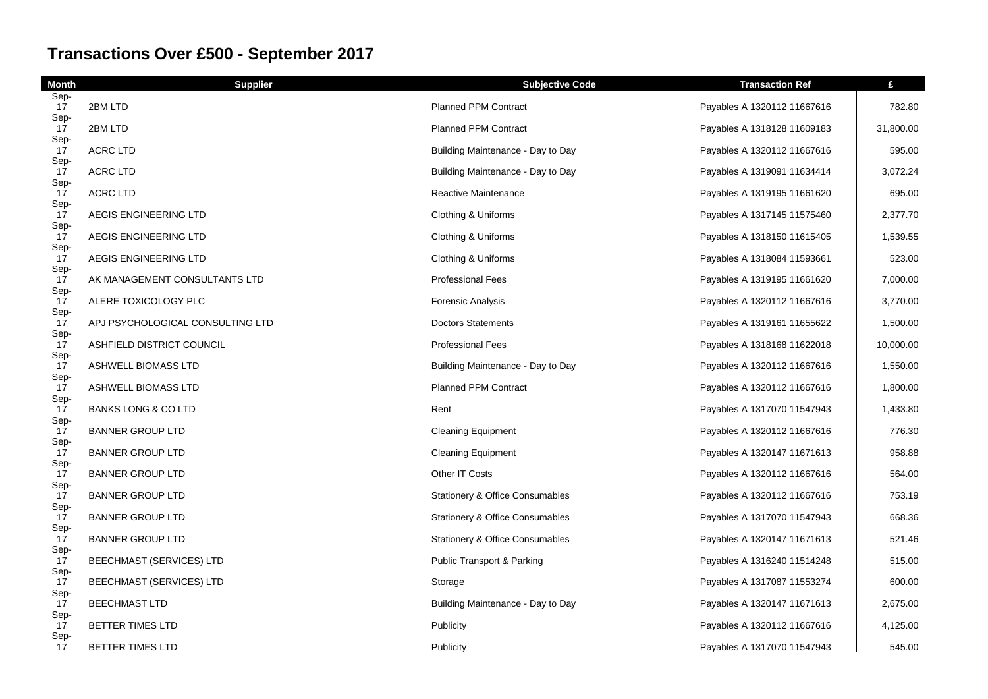| <b>Month</b> | <b>Supplier</b>                  | <b>Subjective Code</b>                     | <b>Transaction Ref</b>      | £         |
|--------------|----------------------------------|--------------------------------------------|-----------------------------|-----------|
| Sep-<br>17   | 2BM LTD                          | <b>Planned PPM Contract</b>                | Payables A 1320112 11667616 | 782.80    |
| Sep-<br>17   | 2BM LTD                          | <b>Planned PPM Contract</b>                | Payables A 1318128 11609183 | 31,800.00 |
| Sep-<br>17   | <b>ACRC LTD</b>                  | Building Maintenance - Day to Day          | Payables A 1320112 11667616 | 595.00    |
| Sep-<br>17   | <b>ACRC LTD</b>                  | Building Maintenance - Day to Day          | Payables A 1319091 11634414 | 3,072.24  |
| Sep-<br>17   | <b>ACRC LTD</b>                  | Reactive Maintenance                       | Payables A 1319195 11661620 | 695.00    |
| Sep-<br>17   | AEGIS ENGINEERING LTD            | Clothing & Uniforms                        | Payables A 1317145 11575460 | 2,377.70  |
| Sep-<br>17   | AEGIS ENGINEERING LTD            | Clothing & Uniforms                        | Payables A 1318150 11615405 | 1,539.55  |
| Sep-<br>17   | AEGIS ENGINEERING LTD            | Clothing & Uniforms                        | Payables A 1318084 11593661 | 523.00    |
| Sep-<br>17   | AK MANAGEMENT CONSULTANTS LTD    | <b>Professional Fees</b>                   | Payables A 1319195 11661620 | 7,000.00  |
| Sep-<br>17   | ALERE TOXICOLOGY PLC             | <b>Forensic Analysis</b>                   | Payables A 1320112 11667616 | 3,770.00  |
| Sep-<br>17   | APJ PSYCHOLOGICAL CONSULTING LTD | <b>Doctors Statements</b>                  | Payables A 1319161 11655622 | 1,500.00  |
| Sep-<br>17   | ASHFIELD DISTRICT COUNCIL        | <b>Professional Fees</b>                   | Payables A 1318168 11622018 | 10,000.00 |
| Sep-<br>17   | ASHWELL BIOMASS LTD              | Building Maintenance - Day to Day          | Payables A 1320112 11667616 | 1,550.00  |
| Sep-<br>17   | ASHWELL BIOMASS LTD              | <b>Planned PPM Contract</b>                | Payables A 1320112 11667616 | 1,800.00  |
| Sep-<br>17   | BANKS LONG & CO LTD              | Rent                                       | Payables A 1317070 11547943 | 1,433.80  |
| Sep-<br>17   | <b>BANNER GROUP LTD</b>          | <b>Cleaning Equipment</b>                  | Payables A 1320112 11667616 | 776.30    |
| Sep-<br>17   | <b>BANNER GROUP LTD</b>          | <b>Cleaning Equipment</b>                  | Payables A 1320147 11671613 | 958.88    |
| Sep-<br>17   | <b>BANNER GROUP LTD</b>          | Other IT Costs                             | Payables A 1320112 11667616 | 564.00    |
| Sep-<br>17   | <b>BANNER GROUP LTD</b>          | Stationery & Office Consumables            | Payables A 1320112 11667616 | 753.19    |
| Sep-<br>17   | <b>BANNER GROUP LTD</b>          | Stationery & Office Consumables            | Payables A 1317070 11547943 | 668.36    |
| Sep-<br>17   | <b>BANNER GROUP LTD</b>          | <b>Stationery &amp; Office Consumables</b> | Payables A 1320147 11671613 | 521.46    |
| Sep-<br>17   | <b>BEECHMAST (SERVICES) LTD</b>  | Public Transport & Parking                 | Payables A 1316240 11514248 | 515.00    |
| Sep-<br>17   | BEECHMAST (SERVICES) LTD         | Storage                                    | Payables A 1317087 11553274 | 600.00    |
| Sep-<br>17   | <b>BEECHMAST LTD</b>             | Building Maintenance - Day to Day          | Payables A 1320147 11671613 | 2,675.00  |
| Sep-<br>17   | BETTER TIMES LTD                 | Publicity                                  | Payables A 1320112 11667616 | 4,125.00  |
| Sep-<br>17   | BETTER TIMES LTD                 | Publicity                                  | Payables A 1317070 11547943 | 545.00    |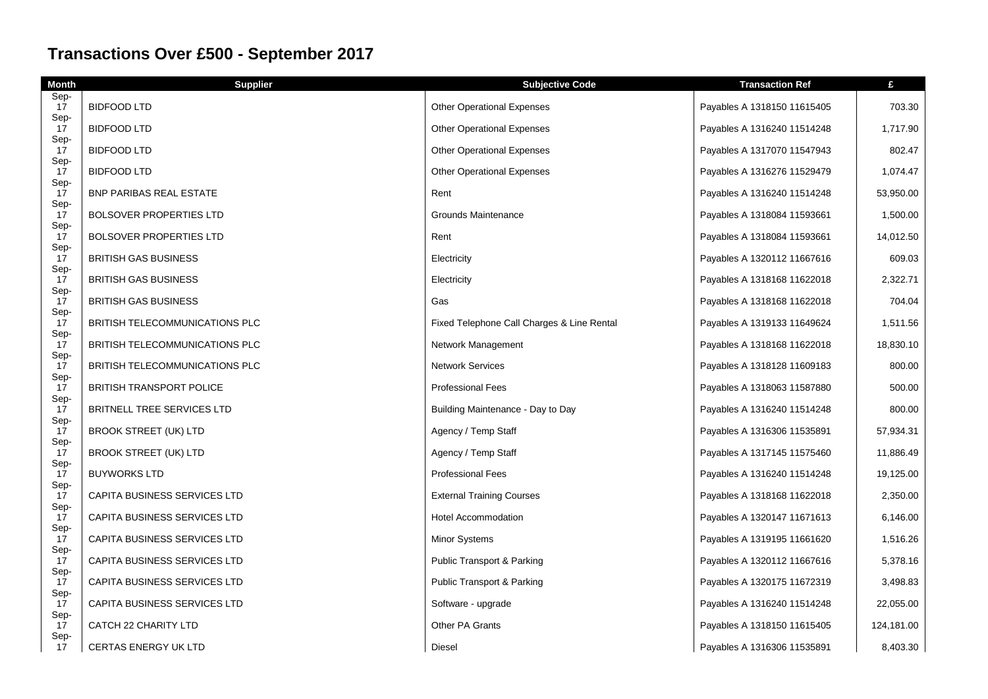| Month      | <b>Supplier</b>                 | <b>Subjective Code</b>                     | <b>Transaction Ref</b>      | £          |
|------------|---------------------------------|--------------------------------------------|-----------------------------|------------|
| Sep-<br>17 | <b>BIDFOOD LTD</b>              | <b>Other Operational Expenses</b>          | Payables A 1318150 11615405 | 703.30     |
| Sep-<br>17 | <b>BIDFOOD LTD</b>              | <b>Other Operational Expenses</b>          | Payables A 1316240 11514248 | 1,717.90   |
| Sep-<br>17 | <b>BIDFOOD LTD</b>              | <b>Other Operational Expenses</b>          | Payables A 1317070 11547943 | 802.47     |
| Sep-<br>17 | <b>BIDFOOD LTD</b>              | <b>Other Operational Expenses</b>          | Payables A 1316276 11529479 | 1,074.47   |
| Sep-<br>17 | <b>BNP PARIBAS REAL ESTATE</b>  | Rent                                       | Payables A 1316240 11514248 | 53,950.00  |
| Sep-<br>17 | <b>BOLSOVER PROPERTIES LTD</b>  | Grounds Maintenance                        | Payables A 1318084 11593661 | 1,500.00   |
| Sep-<br>17 | <b>BOLSOVER PROPERTIES LTD</b>  | Rent                                       | Payables A 1318084 11593661 | 14,012.50  |
| Sep-<br>17 | <b>BRITISH GAS BUSINESS</b>     | Electricity                                | Payables A 1320112 11667616 | 609.03     |
| Sep-<br>17 | <b>BRITISH GAS BUSINESS</b>     | Electricity                                | Payables A 1318168 11622018 | 2,322.71   |
| Sep-<br>17 | <b>BRITISH GAS BUSINESS</b>     | Gas                                        | Payables A 1318168 11622018 | 704.04     |
| Sep-<br>17 | BRITISH TELECOMMUNICATIONS PLC  | Fixed Telephone Call Charges & Line Rental | Payables A 1319133 11649624 | 1,511.56   |
| Sep-<br>17 | BRITISH TELECOMMUNICATIONS PLC  | Network Management                         | Payables A 1318168 11622018 | 18,830.10  |
| Sep-<br>17 | BRITISH TELECOMMUNICATIONS PLC  | <b>Network Services</b>                    | Payables A 1318128 11609183 | 800.00     |
| Sep-<br>17 | <b>BRITISH TRANSPORT POLICE</b> | <b>Professional Fees</b>                   | Payables A 1318063 11587880 | 500.00     |
| Sep-<br>17 | BRITNELL TREE SERVICES LTD      | Building Maintenance - Day to Day          | Payables A 1316240 11514248 | 800.00     |
| Sep-<br>17 | <b>BROOK STREET (UK) LTD</b>    | Agency / Temp Staff                        | Payables A 1316306 11535891 | 57,934.31  |
| Sep-<br>17 | <b>BROOK STREET (UK) LTD</b>    | Agency / Temp Staff                        | Payables A 1317145 11575460 | 11,886.49  |
| Sep-<br>17 | <b>BUYWORKS LTD</b>             | <b>Professional Fees</b>                   | Payables A 1316240 11514248 | 19,125.00  |
| Sep-<br>17 | CAPITA BUSINESS SERVICES LTD    | <b>External Training Courses</b>           | Payables A 1318168 11622018 | 2,350.00   |
| Sep-<br>17 | CAPITA BUSINESS SERVICES LTD    | Hotel Accommodation                        | Payables A 1320147 11671613 | 6,146.00   |
| Sep-<br>17 | CAPITA BUSINESS SERVICES LTD    | Minor Systems                              | Payables A 1319195 11661620 | 1,516.26   |
| Sep-<br>17 | CAPITA BUSINESS SERVICES LTD    | Public Transport & Parking                 | Payables A 1320112 11667616 | 5,378.16   |
| Sep-<br>17 | CAPITA BUSINESS SERVICES LTD    | <b>Public Transport &amp; Parking</b>      | Payables A 1320175 11672319 | 3,498.83   |
| Sep-<br>17 | CAPITA BUSINESS SERVICES LTD    | Software - upgrade                         | Payables A 1316240 11514248 | 22,055.00  |
| Sep-<br>17 | CATCH 22 CHARITY LTD            | Other PA Grants                            | Payables A 1318150 11615405 | 124,181.00 |
| Sep-<br>17 | CERTAS ENERGY UK LTD            | Diesel                                     | Payables A 1316306 11535891 | 8,403.30   |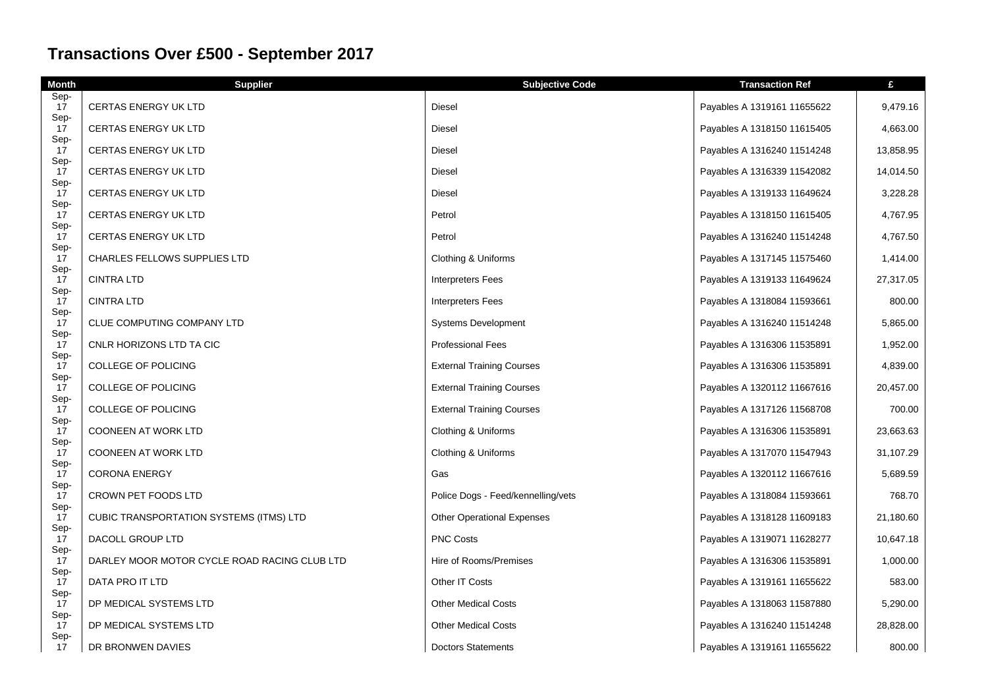| Month              | <b>Supplier</b>                              | <b>Subjective Code</b>             | <b>Transaction Ref</b>      | £         |
|--------------------|----------------------------------------------|------------------------------------|-----------------------------|-----------|
| Sep-<br>17         | <b>CERTAS ENERGY UK LTD</b>                  | Diesel                             | Payables A 1319161 11655622 | 9,479.16  |
| Sep-<br>17         | <b>CERTAS ENERGY UK LTD</b>                  | <b>Diesel</b>                      | Payables A 1318150 11615405 | 4,663.00  |
| Sep-<br>17         | <b>CERTAS ENERGY UK LTD</b>                  | Diesel                             | Payables A 1316240 11514248 | 13,858.95 |
| Sep-<br>17         | <b>CERTAS ENERGY UK LTD</b>                  | Diesel                             | Payables A 1316339 11542082 | 14,014.50 |
| Sep-<br>17         | <b>CERTAS ENERGY UK LTD</b>                  | Diesel                             | Payables A 1319133 11649624 | 3,228.28  |
| Sep-<br>17         | <b>CERTAS ENERGY UK LTD</b>                  | Petrol                             | Payables A 1318150 11615405 | 4,767.95  |
| Sep-<br>17         | <b>CERTAS ENERGY UK LTD</b>                  | Petrol                             | Payables A 1316240 11514248 | 4,767.50  |
| Sep-<br>17         | <b>CHARLES FELLOWS SUPPLIES LTD</b>          | Clothing & Uniforms                | Payables A 1317145 11575460 | 1,414.00  |
| Sep-<br>17         | <b>CINTRA LTD</b>                            | <b>Interpreters Fees</b>           | Payables A 1319133 11649624 | 27,317.05 |
| Sep-<br>17         | <b>CINTRA LTD</b>                            | <b>Interpreters Fees</b>           | Payables A 1318084 11593661 | 800.00    |
| Sep-<br>17         | CLUE COMPUTING COMPANY LTD                   | <b>Systems Development</b>         | Payables A 1316240 11514248 | 5,865.00  |
| Sep-<br>17         | CNLR HORIZONS LTD TA CIC                     | <b>Professional Fees</b>           | Payables A 1316306 11535891 | 1,952.00  |
| Sep-<br>17         | COLLEGE OF POLICING                          | <b>External Training Courses</b>   | Payables A 1316306 11535891 | 4,839.00  |
| Sep-<br>17<br>Sep- | COLLEGE OF POLICING                          | <b>External Training Courses</b>   | Payables A 1320112 11667616 | 20,457.00 |
| 17                 | COLLEGE OF POLICING                          | <b>External Training Courses</b>   | Payables A 1317126 11568708 | 700.00    |
| Sep-<br>17         | <b>COONEEN AT WORK LTD</b>                   | Clothing & Uniforms                | Payables A 1316306 11535891 | 23,663.63 |
| Sep-<br>17         | <b>COONEEN AT WORK LTD</b>                   | Clothing & Uniforms                | Payables A 1317070 11547943 | 31,107.29 |
| Sep-<br>17         | <b>CORONA ENERGY</b>                         | Gas                                | Payables A 1320112 11667616 | 5,689.59  |
| Sep-<br>17         | CROWN PET FOODS LTD                          | Police Dogs - Feed/kennelling/vets | Payables A 1318084 11593661 | 768.70    |
| Sep-<br>17         | CUBIC TRANSPORTATION SYSTEMS (ITMS) LTD      | <b>Other Operational Expenses</b>  | Payables A 1318128 11609183 | 21,180.60 |
| Sep-<br>17<br>Sep- | DACOLL GROUP LTD                             | <b>PNC Costs</b>                   | Payables A 1319071 11628277 | 10,647.18 |
| 17<br>Sep-         | DARLEY MOOR MOTOR CYCLE ROAD RACING CLUB LTD | Hire of Rooms/Premises             | Payables A 1316306 11535891 | 1,000.00  |
| 17                 | DATA PRO IT LTD                              | Other IT Costs                     | Payables A 1319161 11655622 | 583.00    |
| Sep-<br>17         | DP MEDICAL SYSTEMS LTD                       | <b>Other Medical Costs</b>         | Payables A 1318063 11587880 | 5,290.00  |
| Sep-<br>17         | DP MEDICAL SYSTEMS LTD                       | <b>Other Medical Costs</b>         | Payables A 1316240 11514248 | 28,828.00 |
| Sep-<br>17         | DR BRONWEN DAVIES                            | <b>Doctors Statements</b>          | Payables A 1319161 11655622 | 800.00    |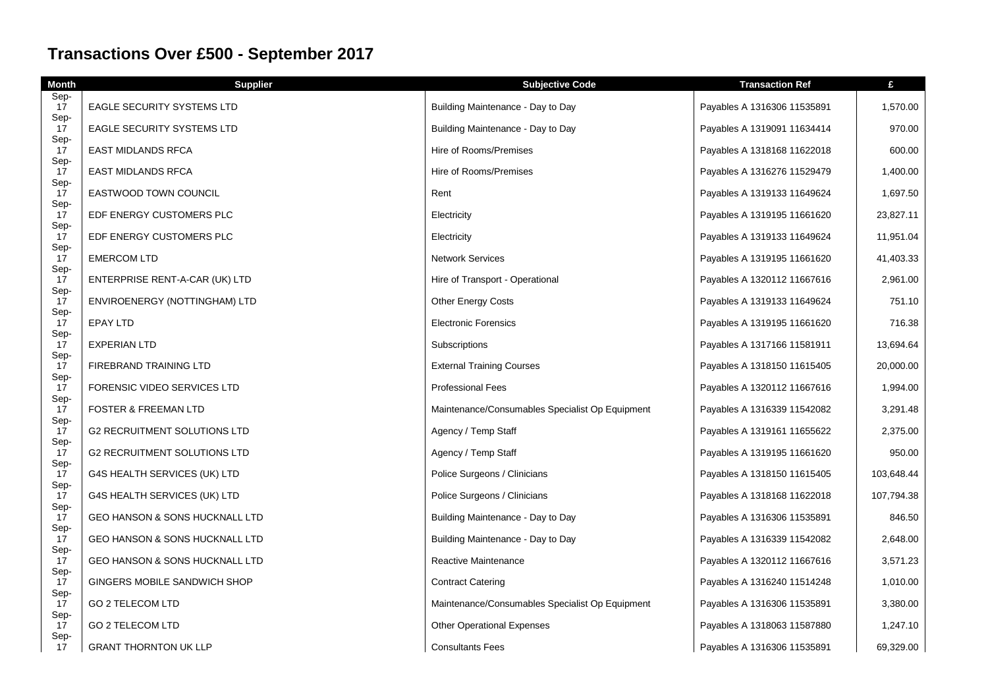| <b>Month</b> | <b>Supplier</b>                           | <b>Subjective Code</b>                          | <b>Transaction Ref</b>      | £          |
|--------------|-------------------------------------------|-------------------------------------------------|-----------------------------|------------|
| Sep-<br>17   | EAGLE SECURITY SYSTEMS LTD                | Building Maintenance - Day to Day               | Payables A 1316306 11535891 | 1,570.00   |
| Sep-<br>17   | EAGLE SECURITY SYSTEMS LTD                | Building Maintenance - Day to Day               | Payables A 1319091 11634414 | 970.00     |
| Sep-<br>17   | <b>EAST MIDLANDS RFCA</b>                 | Hire of Rooms/Premises                          | Payables A 1318168 11622018 | 600.00     |
| Sep-<br>17   | <b>EAST MIDLANDS RFCA</b>                 | Hire of Rooms/Premises                          | Payables A 1316276 11529479 | 1,400.00   |
| Sep-<br>17   | EASTWOOD TOWN COUNCIL                     | Rent                                            | Payables A 1319133 11649624 | 1,697.50   |
| Sep-<br>17   | EDF ENERGY CUSTOMERS PLC                  | Electricity                                     | Payables A 1319195 11661620 | 23,827.11  |
| Sep-<br>17   | EDF ENERGY CUSTOMERS PLC                  | Electricity                                     | Payables A 1319133 11649624 | 11,951.04  |
| Sep-<br>17   | <b>EMERCOM LTD</b>                        | <b>Network Services</b>                         | Payables A 1319195 11661620 | 41,403.33  |
| Sep-<br>17   | ENTERPRISE RENT-A-CAR (UK) LTD            | Hire of Transport - Operational                 | Payables A 1320112 11667616 | 2,961.00   |
| Sep-<br>17   | ENVIROENERGY (NOTTINGHAM) LTD             | Other Energy Costs                              | Payables A 1319133 11649624 | 751.10     |
| Sep-<br>17   | <b>EPAY LTD</b>                           | <b>Electronic Forensics</b>                     | Payables A 1319195 11661620 | 716.38     |
| Sep-<br>17   | <b>EXPERIAN LTD</b>                       | Subscriptions                                   | Payables A 1317166 11581911 | 13,694.64  |
| Sep-<br>17   | FIREBRAND TRAINING LTD                    | <b>External Training Courses</b>                | Payables A 1318150 11615405 | 20,000.00  |
| Sep-<br>17   | <b>FORENSIC VIDEO SERVICES LTD</b>        | <b>Professional Fees</b>                        | Payables A 1320112 11667616 | 1,994.00   |
| Sep-<br>17   | <b>FOSTER &amp; FREEMAN LTD</b>           | Maintenance/Consumables Specialist Op Equipment | Payables A 1316339 11542082 | 3,291.48   |
| Sep-<br>17   | <b>G2 RECRUITMENT SOLUTIONS LTD</b>       | Agency / Temp Staff                             | Payables A 1319161 11655622 | 2,375.00   |
| Sep-<br>17   | <b>G2 RECRUITMENT SOLUTIONS LTD</b>       | Agency / Temp Staff                             | Payables A 1319195 11661620 | 950.00     |
| Sep-<br>17   | G4S HEALTH SERVICES (UK) LTD              | Police Surgeons / Clinicians                    | Payables A 1318150 11615405 | 103,648.44 |
| Sep-<br>17   | G4S HEALTH SERVICES (UK) LTD              | Police Surgeons / Clinicians                    | Payables A 1318168 11622018 | 107,794.38 |
| Sep-<br>17   | GEO HANSON & SONS HUCKNALL LTD            | Building Maintenance - Day to Day               | Payables A 1316306 11535891 | 846.50     |
| Sep-<br>17   | <b>GEO HANSON &amp; SONS HUCKNALL LTD</b> | Building Maintenance - Day to Day               | Payables A 1316339 11542082 | 2,648.00   |
| Sep-<br>17   | GEO HANSON & SONS HUCKNALL LTD            | Reactive Maintenance                            | Payables A 1320112 11667616 | 3,571.23   |
| Sep-<br>17   | GINGERS MOBILE SANDWICH SHOP              | <b>Contract Catering</b>                        | Payables A 1316240 11514248 | 1,010.00   |
| Sep-<br>17   | GO 2 TELECOM LTD                          | Maintenance/Consumables Specialist Op Equipment | Payables A 1316306 11535891 | 3,380.00   |
| Sep-<br>17   | <b>GO 2 TELECOM LTD</b>                   | <b>Other Operational Expenses</b>               | Payables A 1318063 11587880 | 1,247.10   |
| Sep-<br>17   | <b>GRANT THORNTON UK LLP</b>              | <b>Consultants Fees</b>                         | Payables A 1316306 11535891 | 69,329.00  |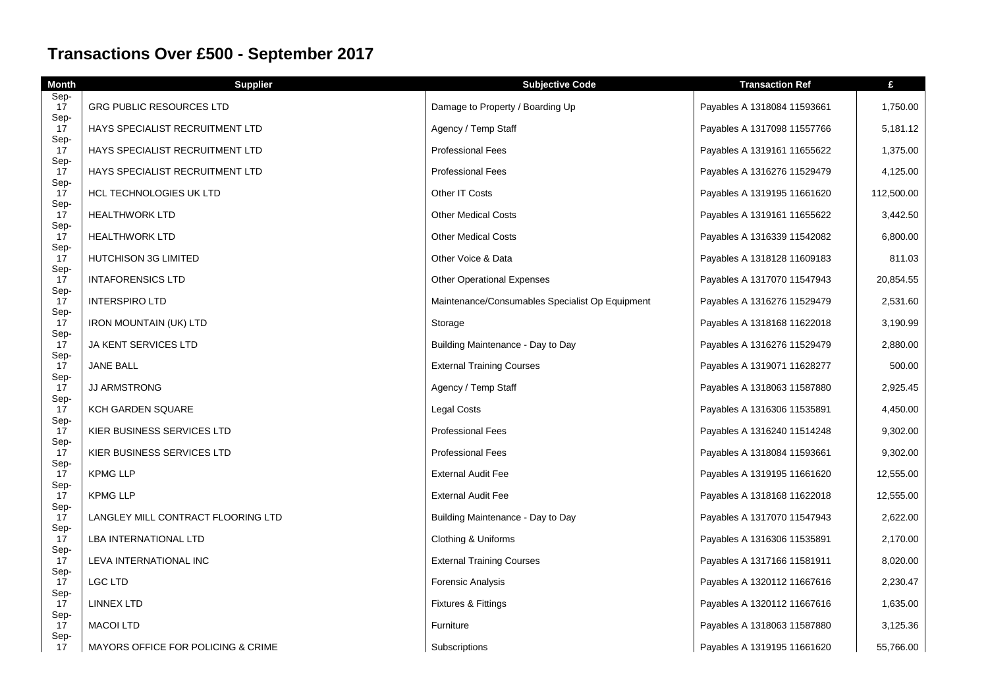| <b>Month</b> | <b>Supplier</b>                    | <b>Subjective Code</b>                          | <b>Transaction Ref</b>      | £          |
|--------------|------------------------------------|-------------------------------------------------|-----------------------------|------------|
| Sep-<br>17   | <b>GRG PUBLIC RESOURCES LTD</b>    | Damage to Property / Boarding Up                | Payables A 1318084 11593661 | 1,750.00   |
| Sep-<br>17   | HAYS SPECIALIST RECRUITMENT LTD    | Agency / Temp Staff                             | Payables A 1317098 11557766 | 5,181.12   |
| Sep-<br>17   | HAYS SPECIALIST RECRUITMENT LTD    | <b>Professional Fees</b>                        | Payables A 1319161 11655622 | 1,375.00   |
| Sep-<br>17   | HAYS SPECIALIST RECRUITMENT LTD    | <b>Professional Fees</b>                        | Payables A 1316276 11529479 | 4,125.00   |
| Sep-<br>17   | HCL TECHNOLOGIES UK LTD            | Other IT Costs                                  | Payables A 1319195 11661620 | 112,500.00 |
| Sep-<br>17   | <b>HEALTHWORK LTD</b>              | <b>Other Medical Costs</b>                      | Payables A 1319161 11655622 | 3,442.50   |
| Sep-<br>17   | <b>HEALTHWORK LTD</b>              | <b>Other Medical Costs</b>                      | Payables A 1316339 11542082 | 6,800.00   |
| Sep-<br>17   | <b>HUTCHISON 3G LIMITED</b>        | Other Voice & Data                              | Payables A 1318128 11609183 | 811.03     |
| Sep-<br>17   | <b>INTAFORENSICS LTD</b>           | <b>Other Operational Expenses</b>               | Payables A 1317070 11547943 | 20,854.55  |
| Sep-<br>17   | <b>INTERSPIRO LTD</b>              | Maintenance/Consumables Specialist Op Equipment | Payables A 1316276 11529479 | 2,531.60   |
| Sep-<br>17   | <b>IRON MOUNTAIN (UK) LTD</b>      | Storage                                         | Payables A 1318168 11622018 | 3,190.99   |
| Sep-<br>17   | <b>JA KENT SERVICES LTD</b>        | Building Maintenance - Day to Day               | Payables A 1316276 11529479 | 2,880.00   |
| Sep-<br>17   | <b>JANE BALL</b>                   | <b>External Training Courses</b>                | Payables A 1319071 11628277 | 500.00     |
| Sep-<br>17   | <b>JJ ARMSTRONG</b>                | Agency / Temp Staff                             | Payables A 1318063 11587880 | 2,925.45   |
| Sep-<br>17   | KCH GARDEN SQUARE                  | Legal Costs                                     | Payables A 1316306 11535891 | 4,450.00   |
| Sep-<br>17   | KIER BUSINESS SERVICES LTD         | <b>Professional Fees</b>                        | Payables A 1316240 11514248 | 9,302.00   |
| Sep-<br>17   | KIER BUSINESS SERVICES LTD         | <b>Professional Fees</b>                        | Payables A 1318084 11593661 | 9,302.00   |
| Sep-<br>17   | <b>KPMG LLP</b>                    | <b>External Audit Fee</b>                       | Payables A 1319195 11661620 | 12,555.00  |
| Sep-<br>17   | <b>KPMG LLP</b>                    | <b>External Audit Fee</b>                       | Payables A 1318168 11622018 | 12,555.00  |
| Sep-<br>17   | LANGLEY MILL CONTRACT FLOORING LTD | Building Maintenance - Day to Day               | Payables A 1317070 11547943 | 2,622.00   |
| Sep-<br>17   | LBA INTERNATIONAL LTD              | Clothing & Uniforms                             | Payables A 1316306 11535891 | 2,170.00   |
| Sep-<br>17   | LEVA INTERNATIONAL INC             | <b>External Training Courses</b>                | Payables A 1317166 11581911 | 8,020.00   |
| Sep-<br>17   | LGC LTD                            | Forensic Analysis                               | Payables A 1320112 11667616 | 2,230.47   |
| Sep-<br>17   | LINNEX LTD                         | Fixtures & Fittings                             | Payables A 1320112 11667616 | 1,635.00   |
| Sep-<br>17   | <b>MACOI LTD</b>                   | Furniture                                       | Payables A 1318063 11587880 | 3,125.36   |
| Sep-<br>17   | MAYORS OFFICE FOR POLICING & CRIME | Subscriptions                                   | Payables A 1319195 11661620 | 55,766.00  |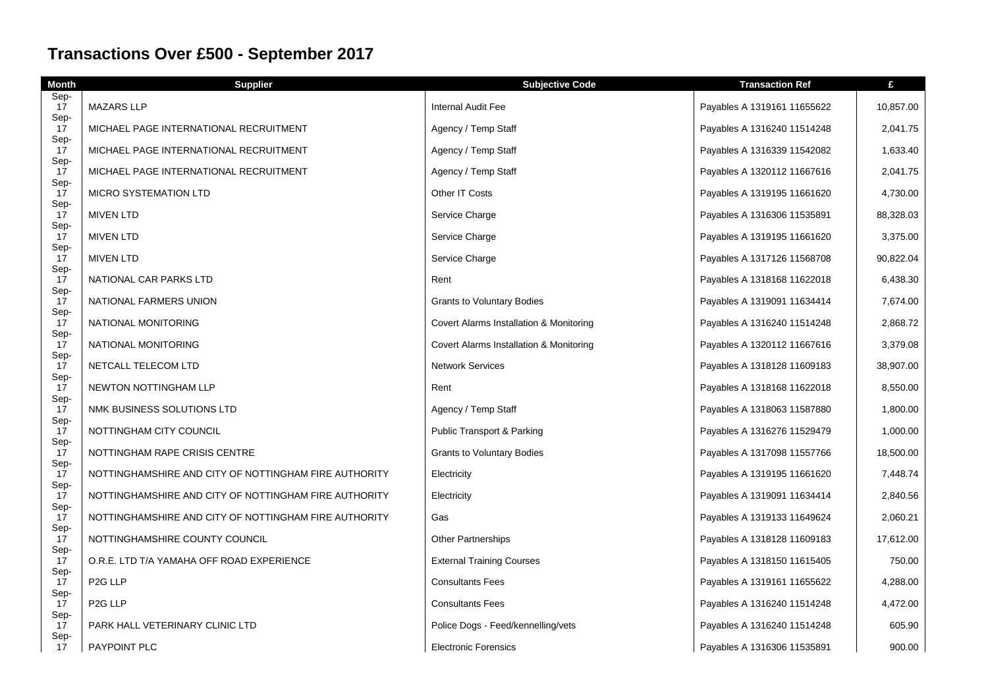| Month      | <b>Supplier</b>                                       | <b>Subjective Code</b>                  | <b>Transaction Ref</b>      | £         |
|------------|-------------------------------------------------------|-----------------------------------------|-----------------------------|-----------|
| Sep-<br>17 | <b>MAZARS LLP</b>                                     | Internal Audit Fee                      | Payables A 1319161 11655622 | 10,857.00 |
| Sep-<br>17 | MICHAEL PAGE INTERNATIONAL RECRUITMENT                | Agency / Temp Staff                     | Payables A 1316240 11514248 | 2,041.75  |
| Sep-<br>17 | MICHAEL PAGE INTERNATIONAL RECRUITMENT                | Agency / Temp Staff                     | Payables A 1316339 11542082 | 1,633.40  |
| Sep-<br>17 | MICHAEL PAGE INTERNATIONAL RECRUITMENT                | Agency / Temp Staff                     | Payables A 1320112 11667616 | 2,041.75  |
| Sep-<br>17 | <b>MICRO SYSTEMATION LTD</b>                          | Other IT Costs                          | Payables A 1319195 11661620 | 4,730.00  |
| Sep-<br>17 | <b>MIVEN LTD</b>                                      | Service Charge                          | Payables A 1316306 11535891 | 88,328.03 |
| Sep-<br>17 | <b>MIVEN LTD</b>                                      | Service Charge                          | Payables A 1319195 11661620 | 3,375.00  |
| Sep-<br>17 | <b>MIVEN LTD</b>                                      | Service Charge                          | Payables A 1317126 11568708 | 90,822.04 |
| Sep-<br>17 | NATIONAL CAR PARKS LTD                                | Rent                                    | Payables A 1318168 11622018 | 6,438.30  |
| Sep-<br>17 | NATIONAL FARMERS UNION                                | <b>Grants to Voluntary Bodies</b>       | Payables A 1319091 11634414 | 7,674.00  |
| Sep-<br>17 | NATIONAL MONITORING                                   | Covert Alarms Installation & Monitoring | Payables A 1316240 11514248 | 2,868.72  |
| Sep-<br>17 | NATIONAL MONITORING                                   | Covert Alarms Installation & Monitoring | Payables A 1320112 11667616 | 3,379.08  |
| Sep-<br>17 | NETCALL TELECOM LTD                                   | <b>Network Services</b>                 | Payables A 1318128 11609183 | 38,907.00 |
| Sep-<br>17 | NEWTON NOTTINGHAM LLP                                 | Rent                                    | Payables A 1318168 11622018 | 8,550.00  |
| Sep-<br>17 | NMK BUSINESS SOLUTIONS LTD                            | Agency / Temp Staff                     | Payables A 1318063 11587880 | 1,800.00  |
| Sep-<br>17 | NOTTINGHAM CITY COUNCIL                               | Public Transport & Parking              | Payables A 1316276 11529479 | 1,000.00  |
| Sep-<br>17 | NOTTINGHAM RAPE CRISIS CENTRE                         | <b>Grants to Voluntary Bodies</b>       | Payables A 1317098 11557766 | 18,500.00 |
| Sep-<br>17 | NOTTINGHAMSHIRE AND CITY OF NOTTINGHAM FIRE AUTHORITY | Electricity                             | Payables A 1319195 11661620 | 7,448.74  |
| Sep-<br>17 | NOTTINGHAMSHIRE AND CITY OF NOTTINGHAM FIRE AUTHORITY | Electricity                             | Payables A 1319091 11634414 | 2,840.56  |
| Sep-<br>17 | NOTTINGHAMSHIRE AND CITY OF NOTTINGHAM FIRE AUTHORITY | Gas                                     | Payables A 1319133 11649624 | 2,060.21  |
| Sep-<br>17 | NOTTINGHAMSHIRE COUNTY COUNCIL                        | <b>Other Partnerships</b>               | Payables A 1318128 11609183 | 17,612.00 |
| Sep-<br>17 | O.R.E. LTD T/A YAMAHA OFF ROAD EXPERIENCE             | <b>External Training Courses</b>        | Payables A 1318150 11615405 | 750.00    |
| Sep-<br>17 | P <sub>2</sub> G LLP                                  | <b>Consultants Fees</b>                 | Payables A 1319161 11655622 | 4,288.00  |
| Sep-<br>17 | P <sub>2G</sub> LLP                                   | <b>Consultants Fees</b>                 | Payables A 1316240 11514248 | 4,472.00  |
| Sep-<br>17 | PARK HALL VETERINARY CLINIC LTD                       | Police Dogs - Feed/kennelling/vets      | Payables A 1316240 11514248 | 605.90    |
| Sep-<br>17 | <b>PAYPOINT PLC</b>                                   | <b>Electronic Forensics</b>             | Payables A 1316306 11535891 | 900.00    |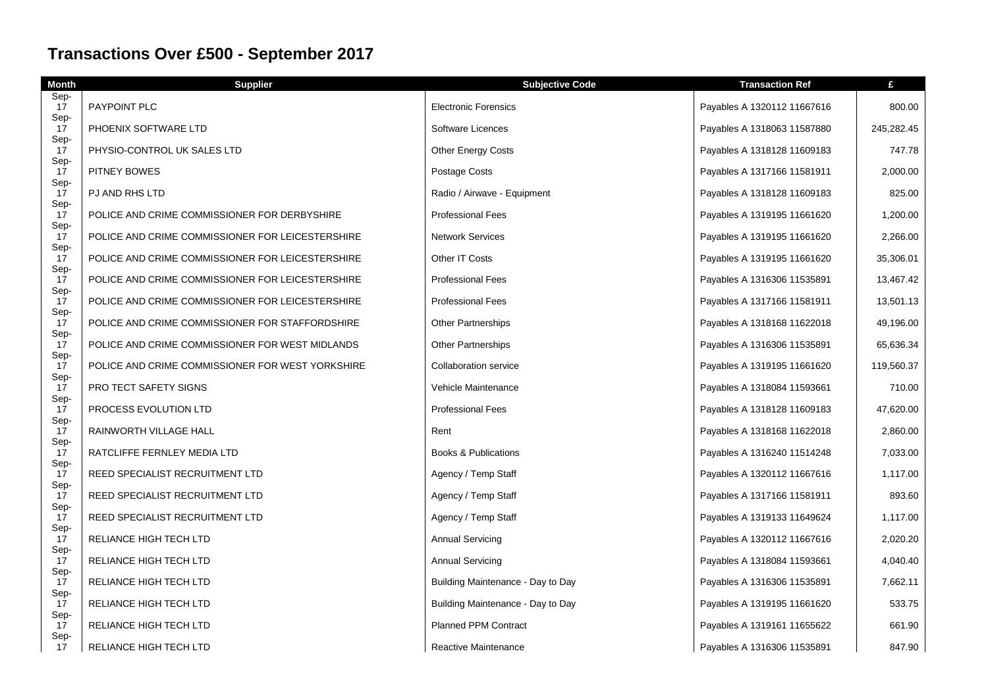| Month              | <b>Supplier</b>                                  | <b>Subjective Code</b>            | <b>Transaction Ref</b>      | £          |
|--------------------|--------------------------------------------------|-----------------------------------|-----------------------------|------------|
| Sep-<br>17         | PAYPOINT PLC                                     | <b>Electronic Forensics</b>       | Payables A 1320112 11667616 | 800.00     |
| Sep-<br>17<br>Sep- | PHOENIX SOFTWARE LTD                             | Software Licences                 | Payables A 1318063 11587880 | 245,282.45 |
| 17                 | PHYSIO-CONTROL UK SALES LTD                      | <b>Other Energy Costs</b>         | Payables A 1318128 11609183 | 747.78     |
| Sep-<br>17         | PITNEY BOWES                                     | Postage Costs                     | Payables A 1317166 11581911 | 2,000.00   |
| Sep-<br>17         | PJ AND RHS LTD                                   | Radio / Airwave - Equipment       | Payables A 1318128 11609183 | 825.00     |
| Sep-<br>17<br>Sep- | POLICE AND CRIME COMMISSIONER FOR DERBYSHIRE     | <b>Professional Fees</b>          | Payables A 1319195 11661620 | 1,200.00   |
| 17                 | POLICE AND CRIME COMMISSIONER FOR LEICESTERSHIRE | <b>Network Services</b>           | Payables A 1319195 11661620 | 2,266.00   |
| Sep-<br>17<br>Sep- | POLICE AND CRIME COMMISSIONER FOR LEICESTERSHIRE | Other IT Costs                    | Payables A 1319195 11661620 | 35,306.01  |
| 17                 | POLICE AND CRIME COMMISSIONER FOR LEICESTERSHIRE | <b>Professional Fees</b>          | Payables A 1316306 11535891 | 13,467.42  |
| Sep-<br>17         | POLICE AND CRIME COMMISSIONER FOR LEICESTERSHIRE | <b>Professional Fees</b>          | Payables A 1317166 11581911 | 13,501.13  |
| Sep-<br>17         | POLICE AND CRIME COMMISSIONER FOR STAFFORDSHIRE  | <b>Other Partnerships</b>         | Payables A 1318168 11622018 | 49,196.00  |
| Sep-<br>17<br>Sep- | POLICE AND CRIME COMMISSIONER FOR WEST MIDLANDS  | <b>Other Partnerships</b>         | Payables A 1316306 11535891 | 65,636.34  |
| 17<br>Sep-         | POLICE AND CRIME COMMISSIONER FOR WEST YORKSHIRE | <b>Collaboration service</b>      | Payables A 1319195 11661620 | 119,560.37 |
| 17<br>Sep-         | PRO TECT SAFETY SIGNS                            | Vehicle Maintenance               | Payables A 1318084 11593661 | 710.00     |
| 17                 | PROCESS EVOLUTION LTD                            | <b>Professional Fees</b>          | Payables A 1318128 11609183 | 47,620.00  |
| Sep-<br>17<br>Sep- | RAINWORTH VILLAGE HALL                           | Rent                              | Payables A 1318168 11622018 | 2,860.00   |
| 17                 | RATCLIFFE FERNLEY MEDIA LTD                      | Books & Publications              | Payables A 1316240 11514248 | 7,033.00   |
| Sep-<br>17         | REED SPECIALIST RECRUITMENT LTD                  | Agency / Temp Staff               | Payables A 1320112 11667616 | 1,117.00   |
| Sep-<br>17         | REED SPECIALIST RECRUITMENT LTD                  | Agency / Temp Staff               | Payables A 1317166 11581911 | 893.60     |
| Sep-<br>17         | REED SPECIALIST RECRUITMENT LTD                  | Agency / Temp Staff               | Payables A 1319133 11649624 | 1,117.00   |
| Sep-<br>17         | RELIANCE HIGH TECH LTD                           | <b>Annual Servicing</b>           | Payables A 1320112 11667616 | 2,020.20   |
| Sep-<br>17<br>Sep- | RELIANCE HIGH TECH LTD                           | <b>Annual Servicing</b>           | Payables A 1318084 11593661 | 4,040.40   |
| 17                 | RELIANCE HIGH TECH LTD                           | Building Maintenance - Day to Day | Payables A 1316306 11535891 | 7,662.11   |
| Sep-<br>17         | RELIANCE HIGH TECH LTD                           | Building Maintenance - Day to Day | Payables A 1319195 11661620 | 533.75     |
| Sep-<br>17         | RELIANCE HIGH TECH LTD                           | <b>Planned PPM Contract</b>       | Payables A 1319161 11655622 | 661.90     |
| Sep-<br>17         | RELIANCE HIGH TECH LTD                           | Reactive Maintenance              | Payables A 1316306 11535891 | 847.90     |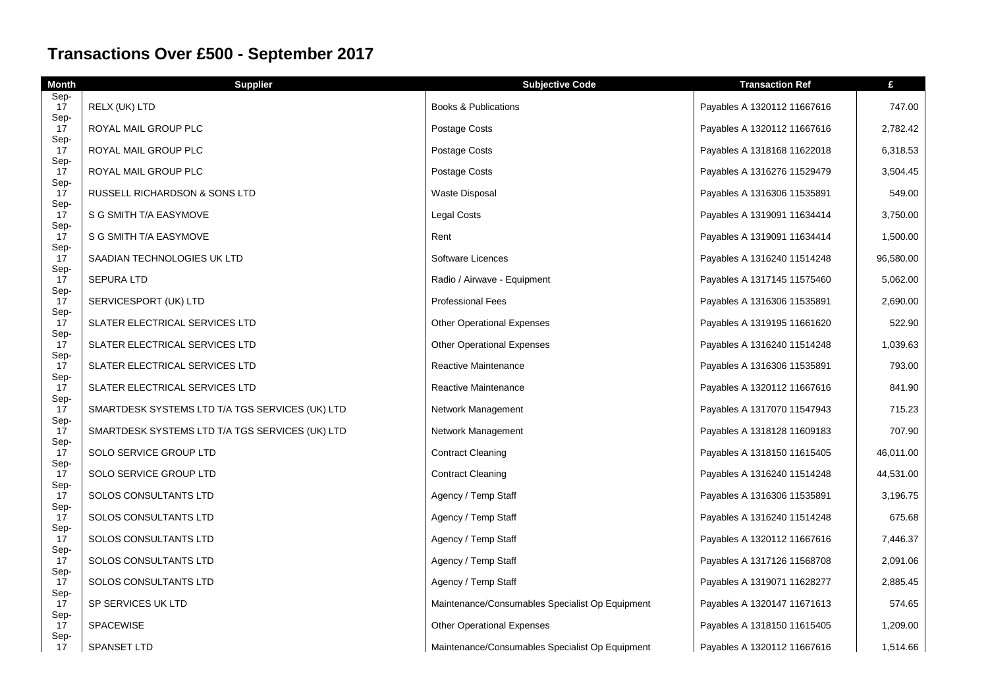| <b>Month</b> | <b>Supplier</b>                                 | <b>Subjective Code</b>                          | <b>Transaction Ref</b>      | £         |
|--------------|-------------------------------------------------|-------------------------------------------------|-----------------------------|-----------|
| Sep-<br>17   | RELX (UK) LTD                                   | <b>Books &amp; Publications</b>                 | Payables A 1320112 11667616 | 747.00    |
| Sep-<br>17   | ROYAL MAIL GROUP PLC                            | Postage Costs                                   | Payables A 1320112 11667616 | 2,782.42  |
| Sep-<br>17   | ROYAL MAIL GROUP PLC                            | Postage Costs                                   | Payables A 1318168 11622018 | 6,318.53  |
| Sep-<br>17   | ROYAL MAIL GROUP PLC                            | Postage Costs                                   | Payables A 1316276 11529479 | 3,504.45  |
| Sep-<br>17   | RUSSELL RICHARDSON & SONS LTD                   | Waste Disposal                                  | Payables A 1316306 11535891 | 549.00    |
| Sep-<br>17   | S G SMITH T/A EASYMOVE                          | <b>Legal Costs</b>                              | Payables A 1319091 11634414 | 3,750.00  |
| Sep-<br>17   | S G SMITH T/A EASYMOVE                          | Rent                                            | Payables A 1319091 11634414 | 1,500.00  |
| Sep-<br>17   | SAADIAN TECHNOLOGIES UK LTD                     | Software Licences                               | Payables A 1316240 11514248 | 96,580.00 |
| Sep-<br>17   | <b>SEPURA LTD</b>                               | Radio / Airwave - Equipment                     | Payables A 1317145 11575460 | 5,062.00  |
| Sep-<br>17   | SERVICESPORT (UK) LTD                           | <b>Professional Fees</b>                        | Payables A 1316306 11535891 | 2,690.00  |
| Sep-<br>17   | SLATER ELECTRICAL SERVICES LTD                  | <b>Other Operational Expenses</b>               | Payables A 1319195 11661620 | 522.90    |
| Sep-<br>17   | SLATER ELECTRICAL SERVICES LTD                  | <b>Other Operational Expenses</b>               | Payables A 1316240 11514248 | 1,039.63  |
| Sep-<br>17   | SLATER ELECTRICAL SERVICES LTD                  | Reactive Maintenance                            | Payables A 1316306 11535891 | 793.00    |
| Sep-<br>17   | SLATER ELECTRICAL SERVICES LTD                  | Reactive Maintenance                            | Payables A 1320112 11667616 | 841.90    |
| Sep-<br>17   | SMARTDESK SYSTEMS LTD T/A TGS SERVICES (UK) LTD | Network Management                              | Payables A 1317070 11547943 | 715.23    |
| Sep-<br>17   | SMARTDESK SYSTEMS LTD T/A TGS SERVICES (UK) LTD | Network Management                              | Payables A 1318128 11609183 | 707.90    |
| Sep-<br>17   | SOLO SERVICE GROUP LTD                          | <b>Contract Cleaning</b>                        | Payables A 1318150 11615405 | 46,011.00 |
| Sep-<br>17   | SOLO SERVICE GROUP LTD                          | <b>Contract Cleaning</b>                        | Payables A 1316240 11514248 | 44,531.00 |
| Sep-<br>17   | SOLOS CONSULTANTS LTD                           | Agency / Temp Staff                             | Payables A 1316306 11535891 | 3,196.75  |
| Sep-<br>17   | SOLOS CONSULTANTS LTD                           | Agency / Temp Staff                             | Payables A 1316240 11514248 | 675.68    |
| Sep-<br>17   | SOLOS CONSULTANTS LTD                           | Agency / Temp Staff                             | Payables A 1320112 11667616 | 7,446.37  |
| Sep-<br>17   | SOLOS CONSULTANTS LTD                           | Agency / Temp Staff                             | Payables A 1317126 11568708 | 2,091.06  |
| Sep-<br>17   | SOLOS CONSULTANTS LTD                           | Agency / Temp Staff                             | Payables A 1319071 11628277 | 2,885.45  |
| Sep-<br>17   | SP SERVICES UK LTD                              | Maintenance/Consumables Specialist Op Equipment | Payables A 1320147 11671613 | 574.65    |
| Sep-<br>17   | <b>SPACEWISE</b>                                | <b>Other Operational Expenses</b>               | Payables A 1318150 11615405 | 1,209.00  |
| Sep-<br>17   | <b>SPANSET LTD</b>                              | Maintenance/Consumables Specialist Op Equipment | Payables A 1320112 11667616 | 1,514.66  |